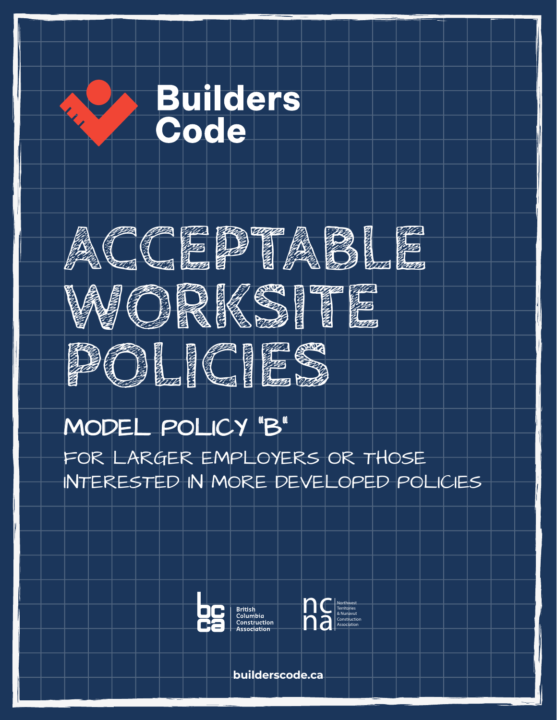



# MODEL POLICY "B"

FOR LARGER EMPLOYERS OR THOSE INTERESTED IN MORE DEVELOPED POLICIES





**builderscode.ca**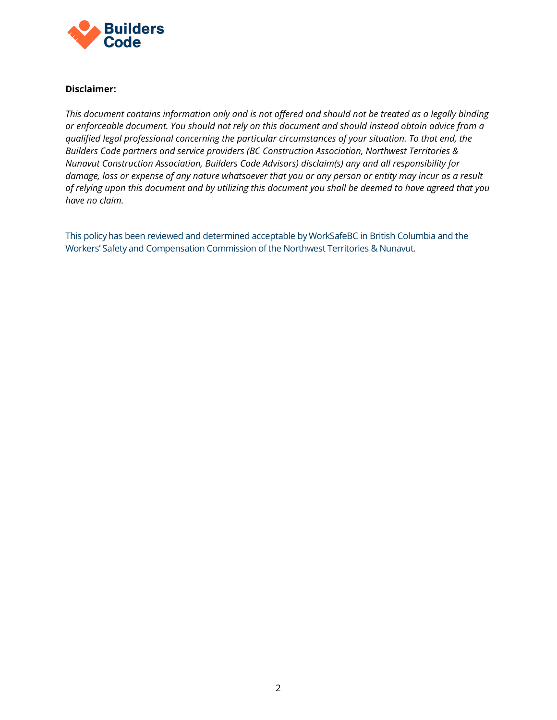

#### **Disclaimer:**

*This document contains information only and is not offered and should not be treated as a legally binding or enforceable document. You should not rely on this document and should instead obtain advice from a qualified legal professional concerning the particular circumstances of your situation. To that end, the Builders Code partners and service providers (BC Construction Association, Northwest Territories & Nunavut Construction Association, Builders Code Advisors) disclaim(s) any and all responsibility for damage, loss or expense of any nature whatsoever that you or any person or entity may incur as a result of relying upon this document and by utilizing this document you shall be deemed to have agreed that you have no claim.* 

This policyhas been reviewed and determined acceptable byWorkSafeBC in British Columbia and the Workers' Safety and Compensation Commission of the Northwest Territories & Nunavut.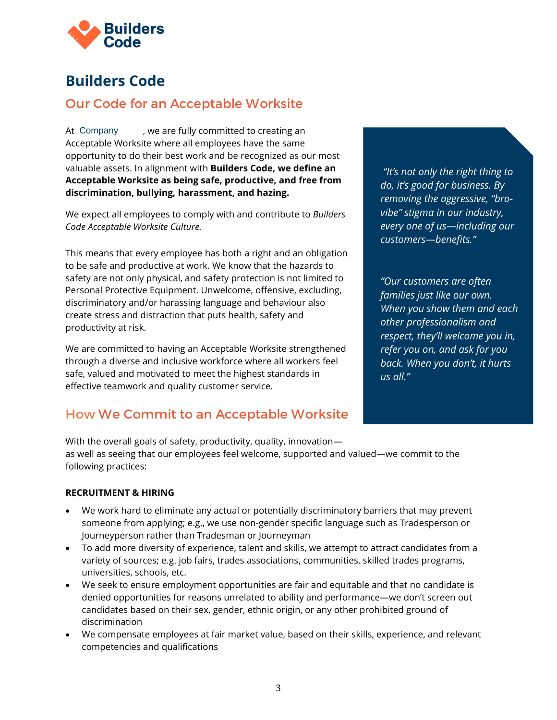

# **Builders Code**

# Our Code for an Acceptable Worksite

, we are fully committed to creating an Acceptable Worksite where all employees have the same opportunity to do their best work and be recognized as our most valuable assets. In alignment with **Builders Code, we define an Acceptable Worksite as being safe, productive, and free from discrimination, bullying, harassment, and hazing.** At Company

We expect all employees to comply with and contribute to *Builders Code Acceptable Worksite Culture.*

This means that every employee has both a right and an obligation to be safe and productive at work. We know that the hazards to safety are not only physical, and safety protection is not limited to Personal Protective Equipment. Unwelcome, offensive, excluding, discriminatory and/or harassing language and behaviour also create stress and distraction that puts health, safety and productivity at risk.

We are committed to having an Acceptable Worksite strengthened through a diverse and inclusive workforce where all workers feel safe, valued and motivated to meet the highest standards in effective teamwork and quality customer service.

# How We Commit to an Acceptable Worksite

*"It's not only the right thing to do, it's good for business. By removing the aggressive, "brovibe" stigma in our industry, every one of us—including our customers—benefits."*

*"Our customers are often families just like our own. When you show them and each other professionalism and respect, they'll welcome you in, refer you on, and ask for you back. When you don't, it hurts us all."*

With the overall goals of safety, productivity, quality, innovation as well as seeing that our employees feel welcome, supported and valued—we commit to the following practices:

#### **RECRUITMENT & HIRING**

- We work hard to eliminate any actual or potentially discriminatory barriers that may prevent someone from applying; e.g., we use non-gender specific language such as Tradesperson or Journeyperson rather than Tradesman or Journeyman
- To add more diversity of experience, talent and skills, we attempt to attract candidates from a variety of sources; e.g. job fairs, trades associations, communities, skilled trades programs, universities, schools, etc.
- We seek to ensure employment opportunities are fair and equitable and that no candidate is denied opportunities for reasons unrelated to ability and performance—we don't screen out candidates based on their sex, gender, ethnic origin, or any other prohibited ground of discrimination
- We compensate employees at fair market value, based on their skills, experience, and relevant competencies and qualifications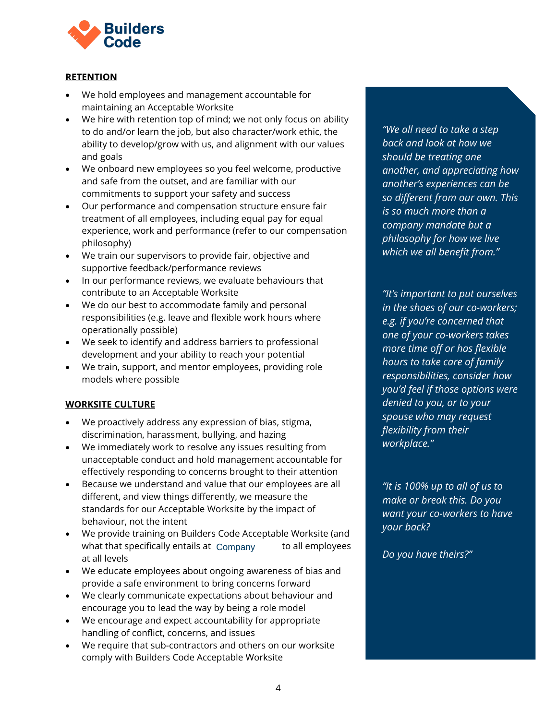

### **RETENTION**

- We hold employees and management accountable for maintaining an Acceptable Worksite
- We hire with retention top of mind; we not only focus on ability to do and/or learn the job, but also character/work ethic, the ability to develop/grow with us, and alignment with our values and goals
- We onboard new employees so you feel welcome, productive and safe from the outset, and are familiar with our commitments to support your safety and success
- Our performance and compensation structure ensure fair treatment of all employees, including equal pay for equal experience, work and performance (refer to our compensation philosophy)
- We train our supervisors to provide fair, objective and supportive feedback/performance reviews
- In our performance reviews, we evaluate behaviours that contribute to an Acceptable Worksite
- We do our best to accommodate family and personal responsibilities (e.g. leave and flexible work hours where operationally possible)
- We seek to identify and address barriers to professional development and your ability to reach your potential
- We train, support, and mentor employees, providing role models where possible

#### **WORKSITE CULTURE**

- We proactively address any expression of bias, stigma, discrimination, harassment, bullying, and hazing
- We immediately work to resolve any issues resulting from unacceptable conduct and hold management accountable for effectively responding to concerns brought to their attention
- Because we understand and value that our employees are all different, and view things differently, we measure the standards for our Acceptable Worksite by the impact of behaviour, not the intent
- We provide training on Builders Code Acceptable Worksite (and what that specifically entails at Company to all employees at all levels
- We educate employees about ongoing awareness of bias and provide a safe environment to bring concerns forward
- We clearly communicate expectations about behaviour and encourage you to lead the way by being a role model
- We encourage and expect accountability for appropriate handling of conflict, concerns, and issues
- We require that sub-contractors and others on our worksite comply with Builders Code Acceptable Worksite

*"We all need to take a step back and look at how we should be treating one another, and appreciating how another's experiences can be so different from our own. This is so much more than a company mandate but a philosophy for how we live which we all benefit from."*

*"It's important to put ourselves in the shoes of our co-workers; e.g. if you're concerned that one of your co-workers takes more time off or has flexible hours to take care of family responsibilities, consider how you'd feel if those options were denied to you, or to your spouse who may request flexibility from their workplace."*

*"It is 100% up to all of us to make or break this. Do you want your co-workers to have your back?*

*Do you have theirs?"*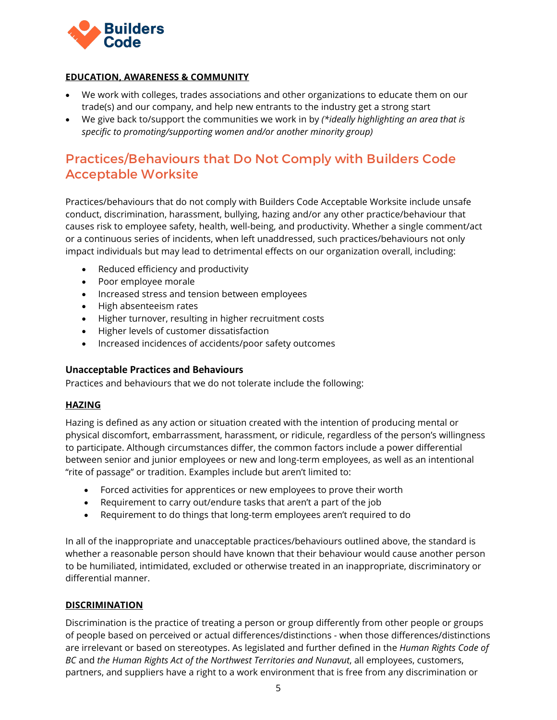

### **EDUCATION, AWARENESS & COMMUNITY**

- We work with colleges, trades associations and other organizations to educate them on our trade(s) and our company, and help new entrants to the industry get a strong start
- We give back to/support the communities we work in by *(\*ideally highlighting an area that is specific to promoting/supporting women and/or another minority group)*

# Practices/Behaviours that Do Not Comply with Builders Code Acceptable Worksite

Practices/behaviours that do not comply with Builders Code Acceptable Worksite include unsafe conduct, discrimination, harassment, bullying, hazing and/or any other practice/behaviour that causes risk to employee safety, health, well-being, and productivity. Whether a single comment/act or a continuous series of incidents, when left unaddressed, such practices/behaviours not only impact individuals but may lead to detrimental effects on our organization overall, including:

- Reduced efficiency and productivity
- Poor employee morale
- Increased stress and tension between employees
- High absenteeism rates
- Higher turnover, resulting in higher recruitment costs
- Higher levels of customer dissatisfaction
- Increased incidences of accidents/poor safety outcomes

#### **Unacceptable Practices and Behaviours**

Practices and behaviours that we do not tolerate include the following:

#### **HAZING**

Hazing is defined as any action or situation created with the intention of producing mental or physical discomfort, embarrassment, harassment, or ridicule, regardless of the person's willingness to participate. Although circumstances differ, the common factors include a power differential between senior and junior employees or new and long-term employees, as well as an intentional "rite of passage" or tradition. Examples include but aren't limited to:

- Forced activities for apprentices or new employees to prove their worth
- Requirement to carry out/endure tasks that aren't a part of the job
- Requirement to do things that long-term employees aren't required to do

In all of the inappropriate and unacceptable practices/behaviours outlined above, the standard is whether a reasonable person should have known that their behaviour would cause another person to be humiliated, intimidated, excluded or otherwise treated in an inappropriate, discriminatory or differential manner.

### **DISCRIMINATION**

Discrimination is the practice of treating a person or group differently from other people or groups of people based on perceived or actual differences/distinctions - when those differences/distinctions are irrelevant or based on stereotypes. As legislated and further defined in the *Human Rights Code of BC* and *the Human Rights Act of the Northwest Territories and Nunavut*, all employees, customers, partners, and suppliers have a right to a work environment that is free from any discrimination or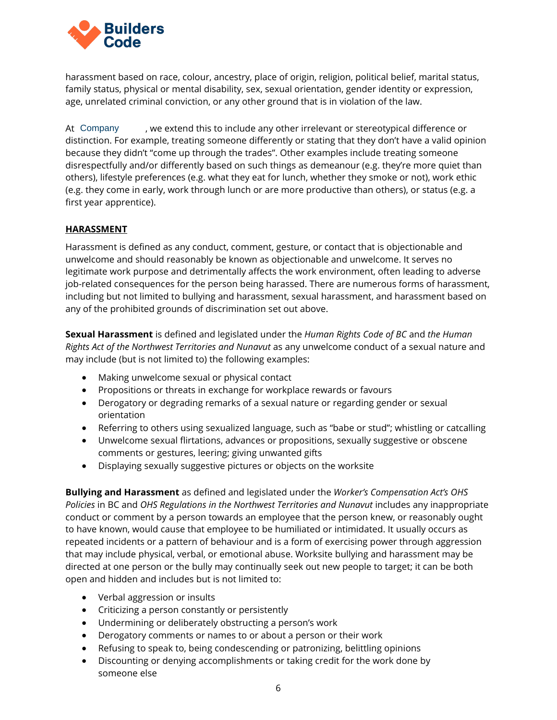

harassment based on race, colour, ancestry, place of origin, religion, political belief, marital status, family status, physical or mental disability, sex, sexual orientation, gender identity or expression, age, unrelated criminal conviction, or any other ground that is in violation of the law.

, we extend this to include any other irrelevant or stereotypical difference or distinction. For example, treating someone differently or stating that they don't have a valid opinion because they didn't "come up through the trades". Other examples include treating someone disrespectfully and/or differently based on such things as demeanour (e.g. they're more quiet than others), lifestyle preferences (e.g. what they eat for lunch, whether they smoke or not), work ethic (e.g. they come in early, work through lunch or are more productive than others), or status (e.g. a first year apprentice). At Company

#### **HARASSMENT**

Harassment is defined as any conduct, comment, gesture, or contact that is objectionable and unwelcome and should reasonably be known as objectionable and unwelcome. It serves no legitimate work purpose and detrimentally affects the work environment, often leading to adverse job-related consequences for the person being harassed. There are numerous forms of harassment, including but not limited to bullying and harassment, sexual harassment, and harassment based on any of the prohibited grounds of discrimination set out above.

**Sexual Harassment** is defined and legislated under the *Human Rights Code of BC* and *the Human Rights Act of the Northwest Territories and Nunavut* as any unwelcome conduct of a sexual nature and may include (but is not limited to) the following examples:

- Making unwelcome sexual or physical contact
- Propositions or threats in exchange for workplace rewards or favours
- Derogatory or degrading remarks of a sexual nature or regarding gender or sexual orientation
- Referring to others using sexualized language, such as "babe or stud"; whistling or catcalling
- Unwelcome sexual flirtations, advances or propositions, sexually suggestive or obscene comments or gestures, leering; giving unwanted gifts
- Displaying sexually suggestive pictures or objects on the worksite

**Bullying and Harassment** as defined and legislated under the *Worker's Compensation Act's OHS Policies* in BC and *OHS Regulations in the Northwest Territories and Nunavut* includes any inappropriate conduct or comment by a person towards an employee that the person knew, or reasonably ought to have known, would cause that employee to be humiliated or intimidated. It usually occurs as repeated incidents or a pattern of behaviour and is a form of exercising power through aggression that may include physical, verbal, or emotional abuse. Worksite bullying and harassment may be directed at one person or the bully may continually seek out new people to target; it can be both open and hidden and includes but is not limited to:

- Verbal aggression or insults
- Criticizing a person constantly or persistently
- Undermining or deliberately obstructing a person's work
- Derogatory comments or names to or about a person or their work
- Refusing to speak to, being condescending or patronizing, belittling opinions
- Discounting or denying accomplishments or taking credit for the work done by someone else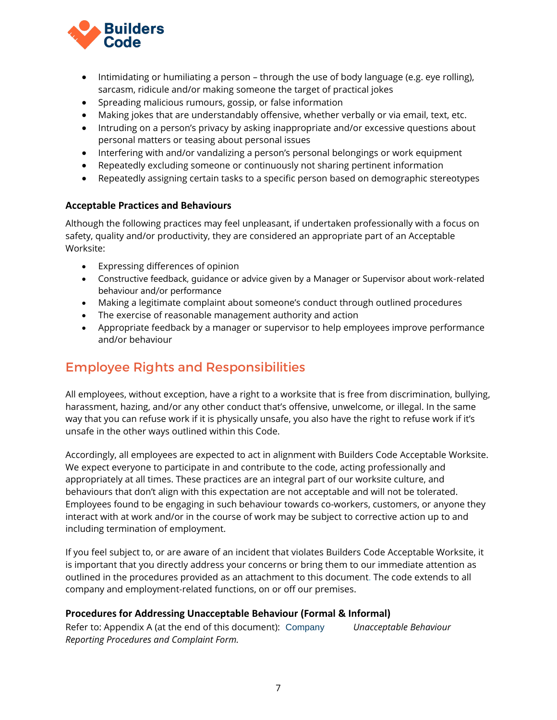

- Intimidating or humiliating a person through the use of body language (e.g. eye rolling), sarcasm, ridicule and/or making someone the target of practical jokes
- Spreading malicious rumours, gossip, or false information
- Making jokes that are understandably offensive, whether verbally or via email, text, etc.
- Intruding on a person's privacy by asking inappropriate and/or excessive questions about personal matters or teasing about personal issues
- Interfering with and/or vandalizing a person's personal belongings or work equipment
- Repeatedly excluding someone or continuously not sharing pertinent information
- Repeatedly assigning certain tasks to a specific person based on demographic stereotypes

### **Acceptable Practices and Behaviours**

Although the following practices may feel unpleasant, if undertaken professionally with a focus on safety, quality and/or productivity, they are considered an appropriate part of an Acceptable Worksite:

- Expressing differences of opinion
- Constructive feedback, guidance or advice given by a Manager or Supervisor about work-related behaviour and/or performance
- Making a legitimate complaint about someone's conduct through outlined procedures
- The exercise of reasonable management authority and action
- Appropriate feedback by a manager or supervisor to help employees improve performance and/or behaviour

# Employee Rights and Responsibilities

All employees, without exception, have a right to a worksite that is free from discrimination, bullying, harassment, hazing, and/or any other conduct that's offensive, unwelcome, or illegal. In the same way that you can refuse work if it is physically unsafe, you also have the right to refuse work if it's unsafe in the other ways outlined within this Code.

Accordingly, all employees are expected to act in alignment with Builders Code Acceptable Worksite. We expect everyone to participate in and contribute to the code, acting professionally and appropriately at all times. These practices are an integral part of our worksite culture, and behaviours that don't align with this expectation are not acceptable and will not be tolerated. Employees found to be engaging in such behaviour towards co-workers, customers, or anyone they interact with at work and/or in the course of work may be subject to corrective action up to and including termination of employment.

If you feel subject to, or are aware of an incident that violates Builders Code Acceptable Worksite, it is important that you directly address your concerns or bring them to our immediate attention as outlined in the procedures provided as an attachment to this document. The code extends to all company and employment-related functions, on or off our premises.

### **Procedures for Addressing Unacceptable Behaviour (Formal & Informal)**

Refer to: Appendix A (at the end of this document): Company Unacceptable Behaviour *Reporting Procedures and Complaint Form.*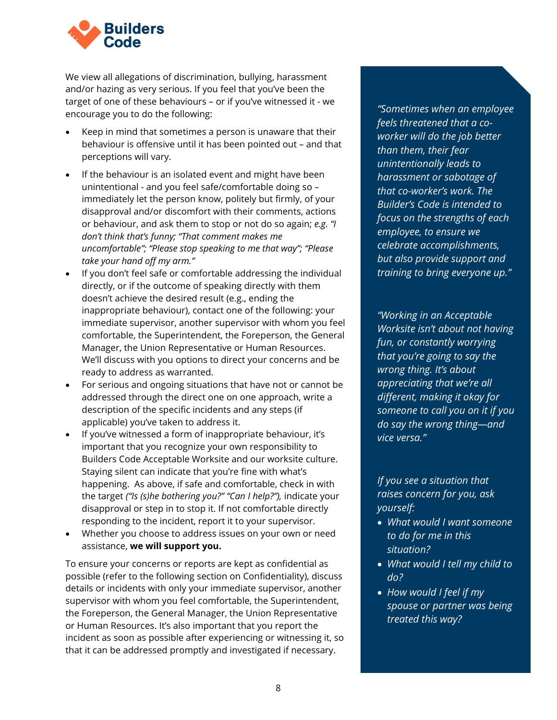

We view all allegations of discrimination, bullying, harassment and/or hazing as very serious. If you feel that you've been the target of one of these behaviours – or if you've witnessed it - we encourage you to do the following:

- Keep in mind that sometimes a person is unaware that their behaviour is offensive until it has been pointed out – and that perceptions will vary.
- If the behaviour is an isolated event and might have been unintentional - and you feel safe/comfortable doing so – immediately let the person know, politely but firmly, of your disapproval and/or discomfort with their comments, actions or behaviour, and ask them to stop or not do so again; *e.g. "I don't think that's funny; "That comment makes me uncomfortable"; "Please stop speaking to me that way"; "Please take your hand off my arm."*
- If you don't feel safe or comfortable addressing the individual directly, or if the outcome of speaking directly with them doesn't achieve the desired result (e.g., ending the inappropriate behaviour), contact one of the following: your immediate supervisor, another supervisor with whom you feel comfortable, the Superintendent, the Foreperson, the General Manager, the Union Representative or Human Resources. We'll discuss with you options to direct your concerns and be ready to address as warranted.
- For serious and ongoing situations that have not or cannot be addressed through the direct one on one approach, write a description of the specific incidents and any steps (if applicable) you've taken to address it.
- If you've witnessed a form of inappropriate behaviour, it's important that you recognize your own responsibility to Builders Code Acceptable Worksite and our worksite culture. Staying silent can indicate that you're fine with what's happening. As above, if safe and comfortable, check in with the target *("Is (s)he bothering you?" "Can I help?"),* indicate your disapproval or step in to stop it. If not comfortable directly responding to the incident, report it to your supervisor.
- Whether you choose to address issues on your own or need assistance, **we will support you.**

To ensure your concerns or reports are kept as confidential as possible (refer to the following section on Confidentiality), discuss details or incidents with only your immediate supervisor, another supervisor with whom you feel comfortable, the Superintendent, the Foreperson, the General Manager, the Union Representative or Human Resources. It's also important that you report the incident as soon as possible after experiencing or witnessing it, so that it can be addressed promptly and investigated if necessary.

*"Sometimes when an employee feels threatened that a coworker will do the job better than them, their fear unintentionally leads to harassment or sabotage of that co-worker's work. The Builder's Code is intended to focus on the strengths of each employee, to ensure we celebrate accomplishments, but also provide support and training to bring everyone up."*

*"Working in an Acceptable Worksite isn't about not having fun, or constantly worrying that you're going to say the wrong thing. It's about appreciating that we're all different, making it okay for someone to call you on it if you do say the wrong thing—and vice versa."* 

*If you see a situation that raises concern for you, ask yourself:*

- *What would I want someone to do for me in this situation?*
- *What would I tell my child to do?*
- *How would I feel if my spouse or partner was being treated this way?*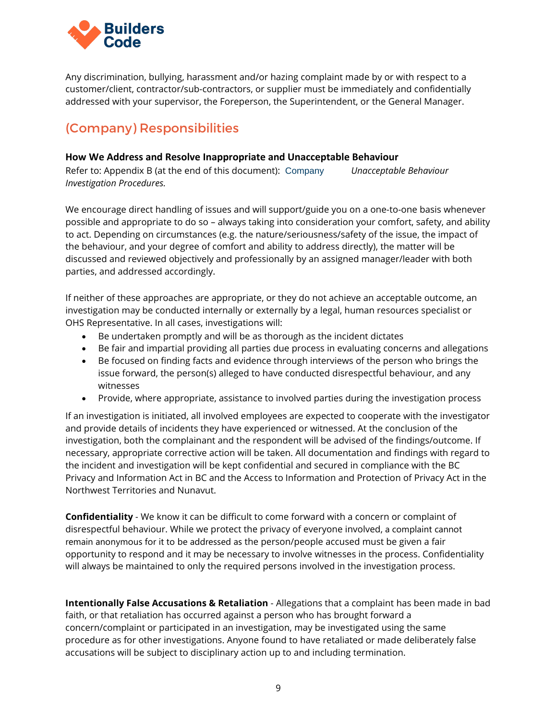

Any discrimination, bullying, harassment and/or hazing complaint made by or with respect to a customer/client, contractor/sub-contractors, or supplier must be immediately and confidentially addressed with your supervisor, the Foreperson, the Superintendent, or the General Manager.

# (Company) Responsibilities

### **How We Address and Resolve Inappropriate and Unacceptable Behaviour**

Refer to: Appendix B (at the end of this document): Company Unacceptable Behaviour *Investigation Procedures.*

We encourage direct handling of issues and will support/guide you on a one-to-one basis whenever possible and appropriate to do so – always taking into consideration your comfort, safety, and ability to act. Depending on circumstances (e.g. the nature/seriousness/safety of the issue, the impact of the behaviour, and your degree of comfort and ability to address directly), the matter will be discussed and reviewed objectively and professionally by an assigned manager/leader with both parties, and addressed accordingly.

If neither of these approaches are appropriate, or they do not achieve an acceptable outcome, an investigation may be conducted internally or externally by a legal, human resources specialist or OHS Representative. In all cases, investigations will:

- Be undertaken promptly and will be as thorough as the incident dictates
- Be fair and impartial providing all parties due process in evaluating concerns and allegations
- Be focused on finding facts and evidence through interviews of the person who brings the issue forward, the person(s) alleged to have conducted disrespectful behaviour, and any witnesses
- Provide, where appropriate, assistance to involved parties during the investigation process

If an investigation is initiated, all involved employees are expected to cooperate with the investigator and provide details of incidents they have experienced or witnessed. At the conclusion of the investigation, both the complainant and the respondent will be advised of the findings/outcome. If necessary, appropriate corrective action will be taken. All documentation and findings with regard to the incident and investigation will be kept confidential and secured in compliance with the BC Privacy and Information Act in BC and the Access to Information and Protection of Privacy Act in the Northwest Territories and Nunavut.

**Confidentiality** - We know it can be difficult to come forward with a concern or complaint of disrespectful behaviour. While we protect the privacy of everyone involved, a complaint cannot remain anonymous for it to be addressed as the person/people accused must be given a fair opportunity to respond and it may be necessary to involve witnesses in the process. Confidentiality will always be maintained to only the required persons involved in the investigation process.

**Intentionally False Accusations & Retaliation** - Allegations that a complaint has been made in bad faith, or that retaliation has occurred against a person who has brought forward a concern/complaint or participated in an investigation, may be investigated using the same procedure as for other investigations. Anyone found to have retaliated or made deliberately false accusations will be subject to disciplinary action up to and including termination.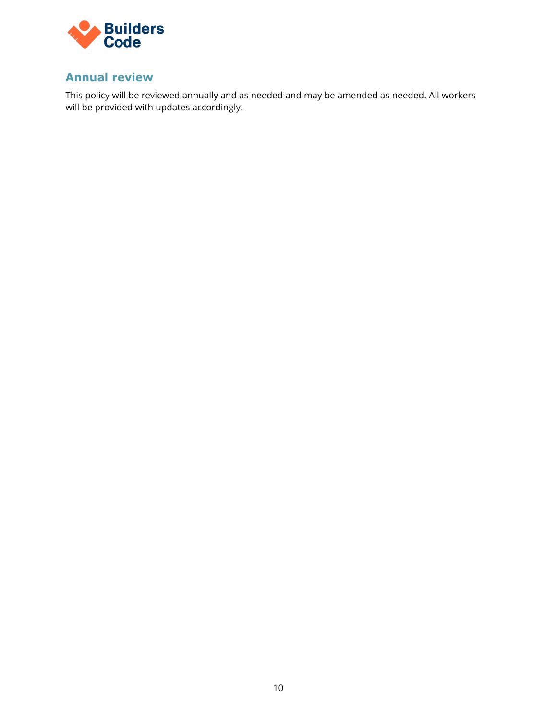

# **Annual review**

This policy will be reviewed annually and as needed and may be amended as needed. All workers will be provided with updates accordingly.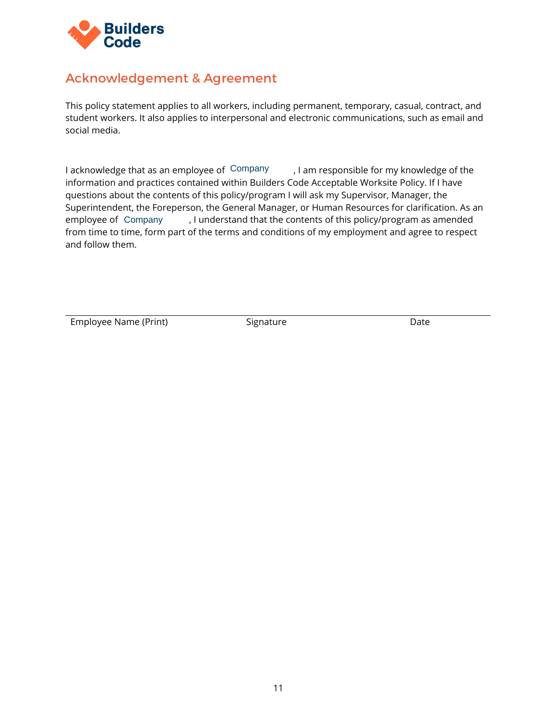

# Acknowledgement & Agreement

This policy statement applies to all workers, including permanent, temporary, casual, contract, and student workers. It also applies to interpersonal and electronic communications, such as email and social media.

I acknowledge that as an employee of Company Farm and practices contained within Builders Code Acceptable Worksite Policy. If I have questions about the contents of this policy/program I will ask my Supervisor, Manager, th information and practices contained within Builders Code Acceptable Worksite Policy. If I have questions about the contents of this policy/program I will ask my Supervisor, Manager, the Superintendent, the Foreperson, the General Manager, or Human Resources for clarification. As an employee of Company (I understand that the contents of this policy/program as amended from time to time, form part of the terms and conditions of my employment and agree to respect and follow them.

Employee Name (Print) Signature Signature Date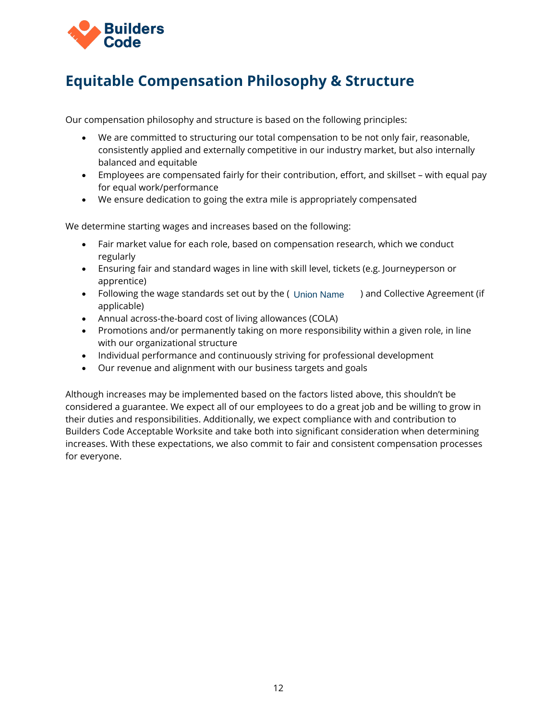

# **Equitable Compensation Philosophy & Structure**

Our compensation philosophy and structure is based on the following principles:

- We are committed to structuring our total compensation to be not only fair, reasonable, consistently applied and externally competitive in our industry market, but also internally balanced and equitable
- Employees are compensated fairly for their contribution, effort, and skillset with equal pay for equal work/performance
- We ensure dedication to going the extra mile is appropriately compensated

We determine starting wages and increases based on the following:

- Fair market value for each role, based on compensation research, which we conduct regularly
- Ensuring fair and standard wages in line with skill level, tickets (e.g. Journeyperson or apprentice)
- Following the wage standards set out by the ( Union Name ) and Collective Agreement (if applicable)
- Annual across-the-board cost of living allowances (COLA)
- Promotions and/or permanently taking on more responsibility within a given role, in line with our organizational structure
- Individual performance and continuously striving for professional development
- Our revenue and alignment with our business targets and goals

Although increases may be implemented based on the factors listed above, this shouldn't be considered a guarantee. We expect all of our employees to do a great job and be willing to grow in their duties and responsibilities. Additionally, we expect compliance with and contribution to Builders Code Acceptable Worksite and take both into significant consideration when determining increases. With these expectations, we also commit to fair and consistent compensation processes for everyone.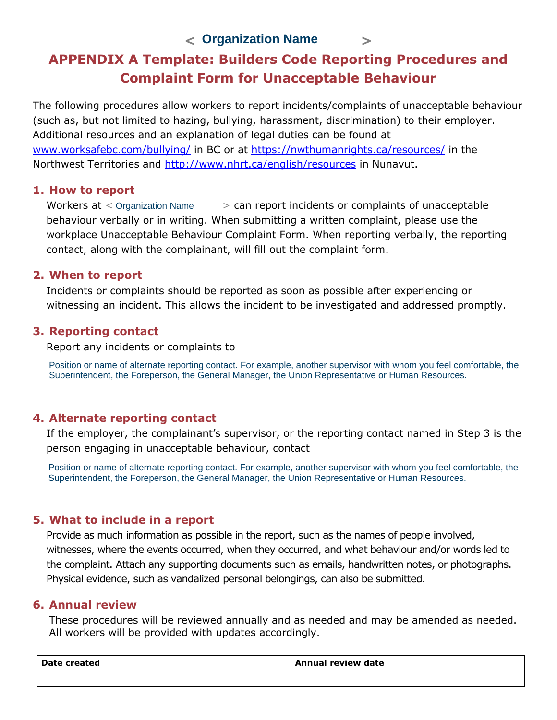**< > Organization Name**

# **APPENDIX A Template: Builders Code Reporting Procedures and Complaint Form for Unacceptable Behaviour**

The following procedures allow workers to report incidents/complaints of unacceptable behaviour (such as, but not limited to hazing, bullying, harassment, discrimination) to their employer. Additional resources and an explanation of legal duties can be found at www.worksafebc.com/bullying/ in BC or at https://nwthumanrights.ca/resources/ in the Northwest Territories and http://www.nhrt.ca/english/resources in Nunavut.

### **1. How to report**

> can report incidents or complaints of unacceptable behaviour verbally or in writing. When submitting a written complaint, please use the workplace Unacceptable Behaviour Complaint Form. When reporting verbally, the reporting contact, along with the complainant, will fill out the complaint form. Workers  $at <$  Organization Name

### **2. When to report**

Incidents or complaints should be reported as soon as possible after experiencing or witnessing an incident. This allows the incident to be investigated and addressed promptly.

### **3. Reporting contact**

Report any incidents or complaints to

Position or name of alternate reporting contact. For example, another supervisor with whom you feel comfortable, the Superintendent, the Foreperson, the General Manager, the Union Representative or Human Resources.

# **4. Alternate reporting contact**

If the employer, the complainant's supervisor, or the reporting contact named in Step 3 is the person engaging in unacceptable behaviour, contact

Position or name of alternate reporting contact. For example, another supervisor with whom you feel comfortable, the Superintendent, the Foreperson, the General Manager, the Union Representative or Human Resources.

# **5. What to include in a report**

Provide as much information as possible in the report, such as the names of people involved, witnesses, where the events occurred, when they occurred, and what behaviour and/or words led to the complaint. Attach any supporting documents such as emails, handwritten notes, or photographs. Physical evidence, such as vandalized personal belongings, can also be submitted.

### **6. Annual review**

These procedures will be reviewed annually and as needed and may be amended as needed. All workers will be provided with updates accordingly.

| Date created | Annual review date |
|--------------|--------------------|
|              |                    |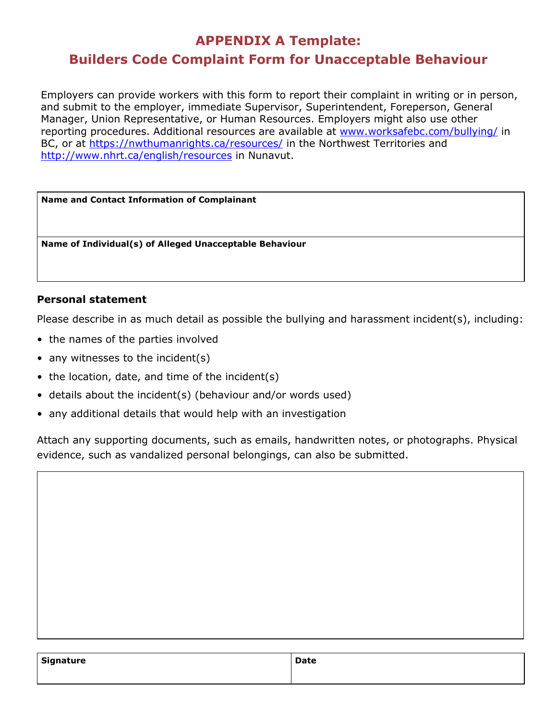# **APPENDIX A Template: Builders Code Complaint Form for Unacceptable Behaviour**

Employers can provide workers with this form to report their complaint in writing or in person, and submit to the employer, immediate Supervisor, Superintendent, Foreperson, General Manager, Union Representative, or Human Resources. Employers might also use other reporting procedures. Additional resources are available at www.worksafebc.com/bullying/ in BC, or at https://nwthumanrights.ca/resources/ in the Northwest Territories and http://www.nhrt.ca/english/resources in Nunavut.

**Name and Contact Information of Complainant**

**Name of Individual(s) of Alleged Unacceptable Behaviour**

### **Personal statement**

Please describe in as much detail as possible the bullying and harassment incident(s), including:

- the names of the parties involved
- any witnesses to the incident(s)
- the location, date, and time of the incident(s)
- details about the incident(s) (behaviour and/or words used)
- any additional details that would help with an investigation

Attach any supporting documents, such as emails, handwritten notes, or photographs. Physical evidence, such as vandalized personal belongings, can also be submitted.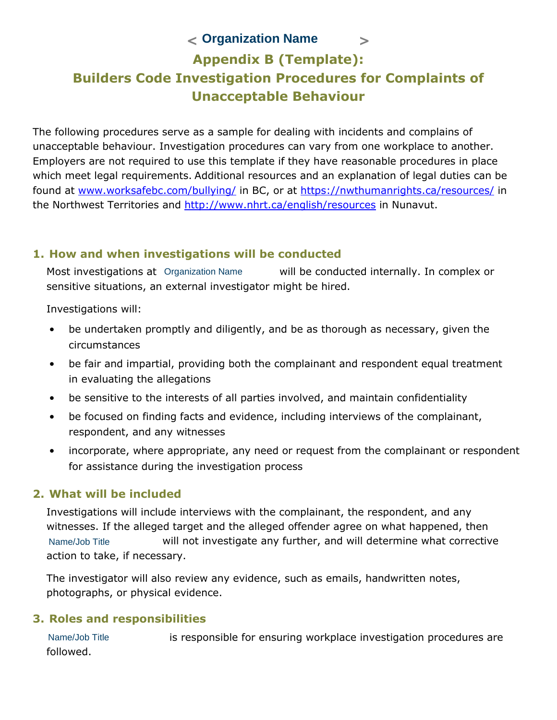# **< > Organization Name Appendix B (Template): Builders Code Investigation Procedures for Complaints of Unacceptable Behaviour**

The following procedures serve as a sample for dealing with incidents and complains of unacceptable behaviour. Investigation procedures can vary from one workplace to another. Employers are not required to use this template if they have reasonable procedures in place which meet legal requirements. Additional resources and an explanation of legal duties can be found at www.worksafebc.com/bullying/ in BC, or at https://nwthumanrights.ca/resources/ in the Northwest Territories and http://www.nhrt.ca/english/resources in Nunavut.

### **1. How and when investigations will be conducted**

Most investigations at Organization Name **builly** be conducted internally. In complex or sensitive situations, an external investigator might be hired.

Investigations will:

- be undertaken promptly and diligently, and be as thorough as necessary, given the circumstances
- be fair and impartial, providing both the complainant and respondent equal treatment in evaluating the allegations
- be sensitive to the interests of all parties involved, and maintain confidentiality
- be focused on finding facts and evidence, including interviews of the complainant, respondent, and any witnesses
- incorporate, where appropriate, any need or request from the complainant or respondent for assistance during the investigation process

# **2. What will be included**

Investigations will include interviews with the complainant, the respondent, and any witnesses. If the alleged target and the alleged offender agree on what happened, then will not investigate any further, and will determine what corrective action to take, if necessary. Name/Job Title

The investigator will also review any evidence, such as emails, handwritten notes, photographs, or physical evidence.

# **3. Roles and responsibilities**

is responsible for ensuring workplace investigation procedures are followed. Name/Job Title